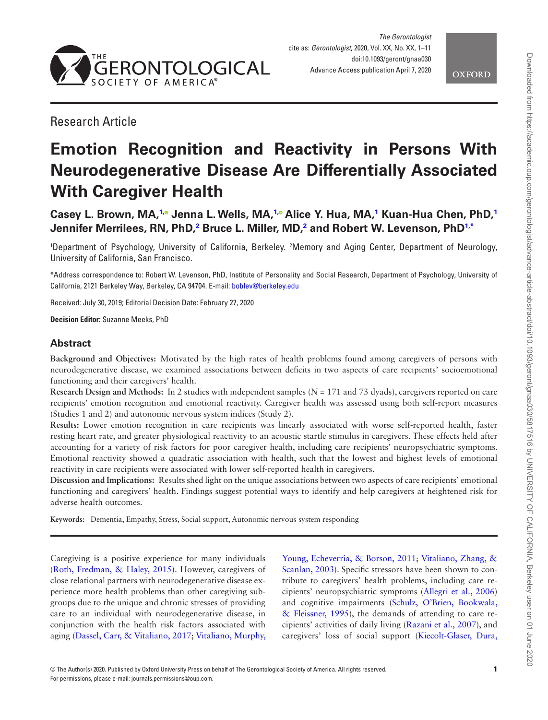



Research Article

# **Emotion Recognition and Reactivity in Persons With Neurodegenerative Disease Are Differentially Associated With Caregiver Health**

**Casey L. Brown, MA,[1](#page-0-0)[,](http://orcid.org/0000-0002-1827-7521) Jenna L. Wells, MA[,1](#page-0-0)[,](http://orcid.org/0000-0002-4240-7015) Alice Y. Hua, MA[,1](#page-0-0) Kuan-Hua Chen, PhD,[1](#page-0-0) Jennifer Merrilees, RN, PhD,[2](#page-0-1) Bruce L. Miller, MD,[2](#page-0-1) and Robert W. Levenson, Ph[D1](#page-0-0)[,\\*](#page-0-2)**

<span id="page-0-1"></span><span id="page-0-0"></span>1 Department of Psychology, University of California, Berkeley. 2 Memory and Aging Center, Department of Neurology, University of California, San Francisco.

<span id="page-0-2"></span>\*Address correspondence to: Robert W. Levenson, PhD, Institute of Personality and Social Research, Department of Psychology, University of California, 2121 Berkeley Way, Berkeley, CA 94704. E-mail: [boblev@berkeley.edu](mailto:boblev@berkeley.edu?subject=)

Received: July 30, 2019; Editorial Decision Date: February 27, 2020

**Decision Editor:** Suzanne Meeks, PhD

# **Abstract**

**Background and Objectives:** Motivated by the high rates of health problems found among caregivers of persons with neurodegenerative disease, we examined associations between deficits in two aspects of care recipients' socioemotional functioning and their caregivers' health.

**Research Design and Methods:** In 2 studies with independent samples (*N* = 171 and 73 dyads), caregivers reported on care recipients' emotion recognition and emotional reactivity. Caregiver health was assessed using both self-report measures (Studies 1 and 2) and autonomic nervous system indices (Study 2).

**Results:** Lower emotion recognition in care recipients was linearly associated with worse self-reported health, faster resting heart rate, and greater physiological reactivity to an acoustic startle stimulus in caregivers. These effects held after accounting for a variety of risk factors for poor caregiver health, including care recipients' neuropsychiatric symptoms. Emotional reactivity showed a quadratic association with health, such that the lowest and highest levels of emotional reactivity in care recipients were associated with lower self-reported health in caregivers.

**Discussion and Implications:** Results shed light on the unique associations between two aspects of care recipients' emotional functioning and caregivers' health. Findings suggest potential ways to identify and help caregivers at heightened risk for adverse health outcomes.

**Keywords:** Dementia, Empathy, Stress, Social support, Autonomic nervous system responding

Caregiving is a positive experience for many individuals ([Roth, Fredman, & Haley, 2015\)](#page-10-0). However, caregivers of close relational partners with neurodegenerative disease experience more health problems than other caregiving subgroups due to the unique and chronic stresses of providing care to an individual with neurodegenerative disease, in conjunction with the health risk factors associated with aging ([Dassel, Carr, & Vitaliano, 2017;](#page-9-0) [Vitaliano, Murphy,](#page-10-1) 

[Young, Echeverria, & Borson, 2011](#page-10-1); [Vitaliano, Zhang, &](#page-10-2)  [Scanlan, 2003](#page-10-2)). Specific stressors have been shown to contribute to caregivers' health problems, including care recipients' neuropsychiatric symptoms [\(Allegri et al., 2006\)](#page-9-1) and cognitive impairments [\(Schulz, O'Brien, Bookwala,](#page-10-3)  [& Fleissner, 1995](#page-10-3)), the demands of attending to care recipients' activities of daily living ([Razani et al., 2007\)](#page-10-4), and caregivers' loss of social support [\(Kiecolt-Glaser, Dura,](#page-10-5)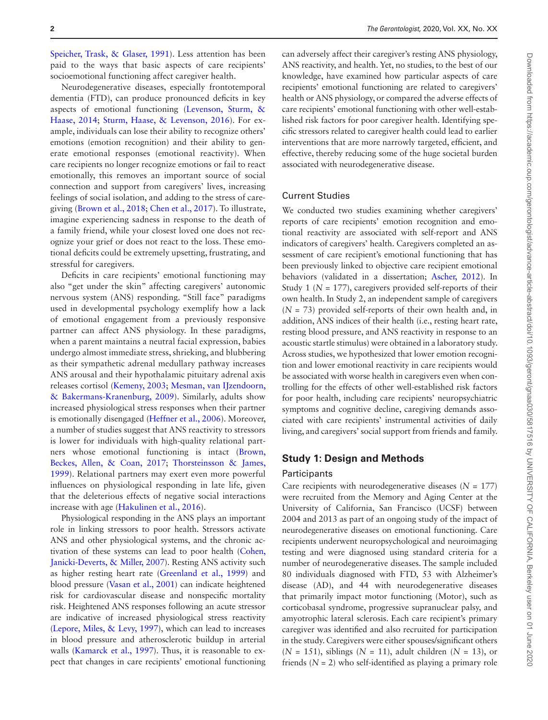[Speicher, Trask, & Glaser, 1991](#page-10-5)). Less attention has been paid to the ways that basic aspects of care recipients' socioemotional functioning affect caregiver health.

Neurodegenerative diseases, especially frontotemporal dementia (FTD), can produce pronounced deficits in key aspects of emotional functioning ([Levenson, Sturm, &](#page-10-6)  [Haase, 2014;](#page-10-6) [Sturm, Haase, & Levenson, 2016\)](#page-10-7). For example, individuals can lose their ability to recognize others' emotions (emotion recognition) and their ability to generate emotional responses (emotional reactivity). When care recipients no longer recognize emotions or fail to react emotionally, this removes an important source of social connection and support from caregivers' lives, increasing feelings of social isolation, and adding to the stress of caregiving [\(Brown et al., 2018](#page-9-2); [Chen et al., 2017](#page-9-3)). To illustrate, imagine experiencing sadness in response to the death of a family friend, while your closest loved one does not recognize your grief or does not react to the loss. These emotional deficits could be extremely upsetting, frustrating, and stressful for caregivers.

Deficits in care recipients' emotional functioning may also "get under the skin" affecting caregivers' autonomic nervous system (ANS) responding. "Still face" paradigms used in developmental psychology exemplify how a lack of emotional engagement from a previously responsive partner can affect ANS physiology. In these paradigms, when a parent maintains a neutral facial expression, babies undergo almost immediate stress, shrieking, and blubbering as their sympathetic adrenal medullary pathway increases ANS arousal and their hypothalamic pituitary adrenal axis releases cortisol [\(Kemeny, 2003](#page-9-4); [Mesman, van IJzendoorn,](#page-10-8)  [& Bakermans-Kranenburg, 2009](#page-10-8)). Similarly, adults show increased physiological stress responses when their partner is emotionally disengaged [\(Heffner et al., 2006](#page-9-5)). Moreover, a number of studies suggest that ANS reactivity to stressors is lower for individuals with high-quality relational partners whose emotional functioning is intact ([Brown,](#page-9-6)  [Beckes, Allen, & Coan, 2017](#page-9-6); [Thorsteinsson & James,](#page-10-9)  [1999](#page-10-9)). Relational partners may exert even more powerful influences on physiological responding in late life, given that the deleterious effects of negative social interactions increase with age ([Hakulinen et al., 2016](#page-9-7)).

Physiological responding in the ANS plays an important role in linking stressors to poor health. Stressors activate ANS and other physiological systems, and the chronic activation of these systems can lead to poor health ([Cohen,](#page-9-8)  [Janicki-Deverts, & Miller, 2007\)](#page-9-8). Resting ANS activity such as higher resting heart rate ([Greenland et al., 1999\)](#page-9-9) and blood pressure ([Vasan et al., 2001\)](#page-10-10) can indicate heightened risk for cardiovascular disease and nonspecific mortality risk. Heightened ANS responses following an acute stressor are indicative of increased physiological stress reactivity ([Lepore, Miles, & Levy, 1997\)](#page-10-11), which can lead to increases in blood pressure and atherosclerotic buildup in arterial walls [\(Kamarck et al., 1997\)](#page-9-10). Thus, it is reasonable to expect that changes in care recipients' emotional functioning

can adversely affect their caregiver's resting ANS physiology, ANS reactivity, and health. Yet, no studies, to the best of our knowledge, have examined how particular aspects of care recipients' emotional functioning are related to caregivers' health or ANS physiology, or compared the adverse effects of care recipients' emotional functioning with other well-established risk factors for poor caregiver health. Identifying specific stressors related to caregiver health could lead to earlier interventions that are more narrowly targeted, efficient, and effective, thereby reducing some of the huge societal burden associated with neurodegenerative disease.

## Current Studies

We conducted two studies examining whether caregivers' reports of care recipients' emotion recognition and emotional reactivity are associated with self-report and ANS indicators of caregivers' health. Caregivers completed an assessment of care recipient's emotional functioning that has been previously linked to objective care recipient emotional behaviors (validated in a dissertation; [Ascher, 2012](#page-9-11)). In Study 1 ( $N = 177$ ), caregivers provided self-reports of their own health. In Study 2, an independent sample of caregivers (*N* = 73) provided self-reports of their own health and, in addition, ANS indices of their health (i.e., resting heart rate, resting blood pressure, and ANS reactivity in response to an acoustic startle stimulus) were obtained in a laboratory study. Across studies, we hypothesized that lower emotion recognition and lower emotional reactivity in care recipients would be associated with worse health in caregivers even when controlling for the effects of other well-established risk factors for poor health, including care recipients' neuropsychiatric symptoms and cognitive decline, caregiving demands associated with care recipients' instrumental activities of daily living, and caregivers' social support from friends and family.

# **Study 1: Design and Methods**

#### **Participants**

Care recipients with neurodegenerative diseases  $(N = 177)$ were recruited from the Memory and Aging Center at the University of California, San Francisco (UCSF) between 2004 and 2013 as part of an ongoing study of the impact of neurodegenerative diseases on emotional functioning. Care recipients underwent neuropsychological and neuroimaging testing and were diagnosed using standard criteria for a number of neurodegenerative diseases. The sample included 80 individuals diagnosed with FTD, 53 with Alzheimer's disease (AD), and 44 with neurodegenerative diseases that primarily impact motor functioning (Motor), such as corticobasal syndrome, progressive supranuclear palsy, and amyotrophic lateral sclerosis. Each care recipient's primary caregiver was identified and also recruited for participation in the study. Caregivers were either spouses/significant others  $(N = 151)$ , siblings  $(N = 11)$ , adult children  $(N = 13)$ , or friends  $(N = 2)$  who self-identified as playing a primary role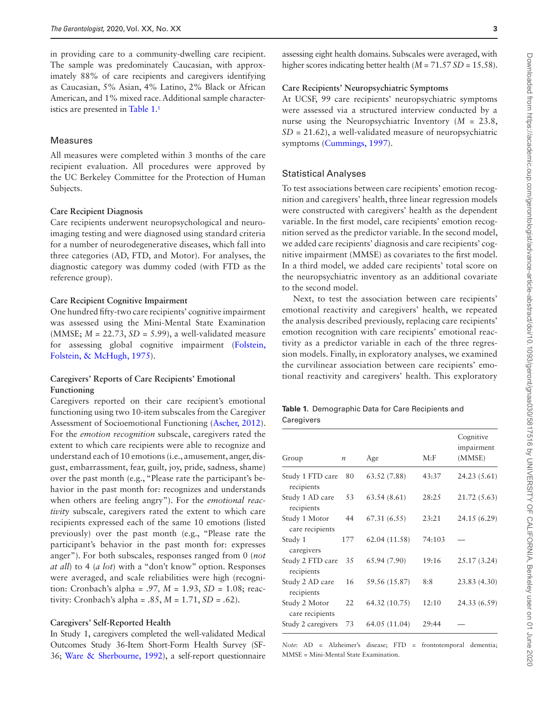in providing care to a community-dwelling care recipient. The sample was predominately Caucasian, with approximately 88% of care recipients and caregivers identifying as Caucasian, 5% Asian, 4% Latino, 2% Black or African American, and 1% mixed race. Additional sample characteristics are presented in [Table 1.](#page-2-0) [1](#page-8-0)

### Measures

All measures were completed within 3 months of the care recipient evaluation. All procedures were approved by the UC Berkeley Committee for the Protection of Human Subjects.

### **Care Recipient Diagnosis**

Care recipients underwent neuropsychological and neuroimaging testing and were diagnosed using standard criteria for a number of neurodegenerative diseases, which fall into three categories (AD, FTD, and Motor). For analyses, the diagnostic category was dummy coded (with FTD as the reference group).

## **Care Recipient Cognitive Impairment**

One hundred fifty-two care recipients' cognitive impairment was assessed using the Mini-Mental State Examination  $(MMSE; M = 22.73, SD = 5.99)$ , a well-validated measure for assessing global cognitive impairment [\(Folstein,](#page-9-12)  [Folstein, & McHugh, 1975](#page-9-12)).

## **Caregivers' Reports of Care Recipients' Emotional Functioning**

Caregivers reported on their care recipient's emotional functioning using two 10-item subscales from the Caregiver Assessment of Socioemotional Functioning ([Ascher, 2012](#page-9-11)). For the *emotion recognition* subscale, caregivers rated the extent to which care recipients were able to recognize and understand each of 10 emotions (i.e., amusement, anger, disgust, embarrassment, fear, guilt, joy, pride, sadness, shame) over the past month (e.g., "Please rate the participant's behavior in the past month for: recognizes and understands when others are feeling angry"). For the *emotional reactivity* subscale, caregivers rated the extent to which care recipients expressed each of the same 10 emotions (listed previously) over the past month (e.g., "Please rate the participant's behavior in the past month for: expresses anger"). For both subscales, responses ranged from 0 (*not at all*) to 4 (*a lot*) with a "don't know" option. Responses were averaged, and scale reliabilities were high (recognition: Cronbach's alpha = .97*, M* = 1.93, *SD* = 1.08; reactivity: Cronbach's alpha = .85, *M* = 1.71, *SD = .*62).

### **Caregivers' Self-Reported Health**

In Study 1, caregivers completed the well-validated Medical Outcomes Study 36-Item Short-Form Health Survey (SF-36; [Ware & Sherbourne, 1992\)](#page-10-12), a self-report questionnaire

assessing eight health domains. Subscales were averaged, with higher scores indicating better health ( $M = 71.57$  *SD* = 15.58).

## **Care Recipients' Neuropsychiatric Symptoms**

At UCSF, 99 care recipients' neuropsychiatric symptoms were assessed via a structured interview conducted by a nurse using the Neuropsychiatric Inventory  $(M = 23.8,$ *SD* = 21.62), a well-validated measure of neuropsychiatric symptoms ([Cummings, 1997](#page-9-13)).

#### Statistical Analyses

To test associations between care recipients' emotion recognition and caregivers' health, three linear regression models were constructed with caregivers' health as the dependent variable. In the first model, care recipients' emotion recognition served as the predictor variable. In the second model, we added care recipients' diagnosis and care recipients' cognitive impairment (MMSE) as covariates to the first model. In a third model, we added care recipients' total score on the neuropsychiatric inventory as an additional covariate to the second model.

Next, to test the association between care recipients' emotional reactivity and caregivers' health, we repeated the analysis described previously, replacing care recipients' emotion recognition with care recipients' emotional reactivity as a predictor variable in each of the three regression models. Finally, in exploratory analyses, we examined the curvilinear association between care recipients' emotional reactivity and caregivers' health. This exploratory

### <span id="page-2-0"></span>**Table 1.** Demographic Data for Care Recipients and **Caregivers**

| Group                            | $\boldsymbol{n}$ | Age           | M: F   | Cognitive<br>impairment<br>(MMSE) |
|----------------------------------|------------------|---------------|--------|-----------------------------------|
| Study 1 FTD care<br>recipients   | 80               | 63.52 (7.88)  | 43:37  | 24.23 (5.61)                      |
| Study 1 AD care<br>recipients    | 53               | 63.54(8.61)   | 28:25  | 21.72 (5.63)                      |
| Study 1 Motor<br>care recipients | 44               | 67.31 (6.55)  | 23:21  | 24.15 (6.29)                      |
| Study 1<br>caregivers            | 177              | 62.04 (11.58) | 74:103 |                                   |
| Study 2 FTD care<br>recipients   | 35               | 65.94 (7.90)  | 19:16  | 25.17 (3.24)                      |
| Study 2 AD care<br>recipients    | 16               | 59.56 (15.87) | 8:8    | 23.83 (4.30)                      |
| Study 2 Motor<br>care recipients | 22               | 64.32 (10.75) | 12:10  | 24.33 (6.59)                      |
| Study 2 caregivers               | 73               | 64.05 (11.04) | 29:44  |                                   |

*Note*: AD = Alzheimer's disease; FTD = frontotemporal dementia; MMSE = Mini-Mental State Examination.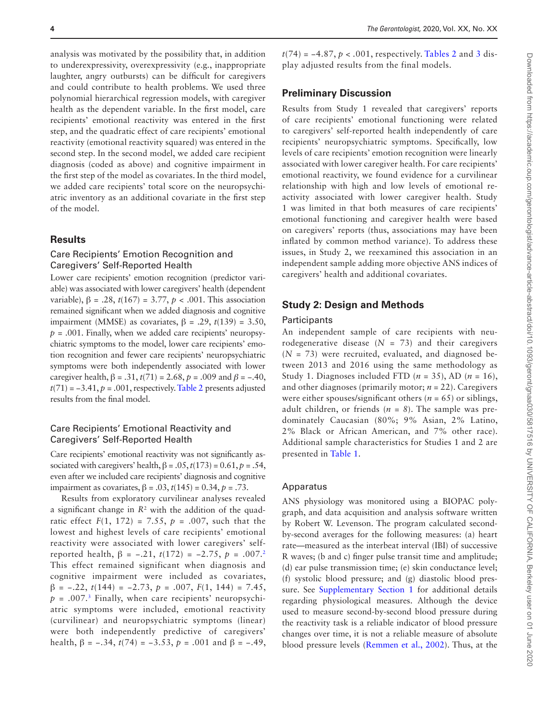analysis was motivated by the possibility that, in addition to underexpressivity, overexpressivity (e.g., inappropriate laughter, angry outbursts) can be difficult for caregivers and could contribute to health problems. We used three polynomial hierarchical regression models, with caregiver health as the dependent variable. In the first model, care recipients' emotional reactivity was entered in the first step, and the quadratic effect of care recipients' emotional reactivity (emotional reactivity squared) was entered in the second step. In the second model, we added care recipient diagnosis (coded as above) and cognitive impairment in the first step of the model as covariates. In the third model, we added care recipients' total score on the neuropsychiatric inventory as an additional covariate in the first step of the model.

## **Results**

# Care Recipients' Emotion Recognition and Caregivers' Self-Reported Health

Lower care recipients' emotion recognition (predictor variable) was associated with lower caregivers' health (dependent variable), β = .28, *t*(167) = 3.77, *p* < .001. This association remained significant when we added diagnosis and cognitive impairment (MMSE) as covariates, β = .29, *t*(139) = 3.50,  $p = .001$ . Finally, when we added care recipients' neuropsychiatric symptoms to the model, lower care recipients' emotion recognition and fewer care recipients' neuropsychiatric symptoms were both independently associated with lower caregiver health,  $β = .31$ ,  $t(71) = 2.68$ ,  $p = .009$  and  $β = -.40$ ,  $t(71) = -3.41$ ,  $p = .001$ , respectively. [Table 2](#page-4-0) presents adjusted results from the final model.

# Care Recipients' Emotional Reactivity and Caregivers' Self-Reported Health

Care recipients' emotional reactivity was not significantly associated with caregivers' health,  $\beta = .05$ ,  $t(173) = 0.61$ ,  $p = .54$ , even after we included care recipients' diagnosis and cognitive impairment as covariates, β = .03, *t*(145) = 0.34, *p* = .73.

Results from exploratory curvilinear analyses revealed a significant change in  $R<sup>2</sup>$  with the addition of the quadratic effect  $F(1, 172) = 7.55$ ,  $p = .007$ , such that the lowest and highest levels of care recipients' emotional reactivity were associated with lower caregivers' selfreported health,  $β = -.21, t(172) = -.2.75, p = .007.<sup>2</sup>$  $β = -.21, t(172) = -.2.75, p = .007.<sup>2</sup>$  $β = -.21, t(172) = -.2.75, p = .007.<sup>2</sup>$ This effect remained significant when diagnosis and cognitive impairment were included as covariates,  $\beta$  =  $-.22$ ,  $t(144)$  =  $-.273$ ,  $p$  =  $.007$ ,  $F(1, 144)$  = 7.45,  $p = .007<sup>3</sup>$  Finally, when care recipients' neuropsychiatric symptoms were included, emotional reactivity (curvilinear) and neuropsychiatric symptoms (linear) were both independently predictive of caregivers' health,  $\beta = -.34$ ,  $t(74) = -3.53$ ,  $p = .001$  and  $\beta = -.49$ ,

*t*(74) = −4.87, *p* < .001, respectively. [Tables 2](#page-4-0) and [3](#page-4-1) display adjusted results from the final models.

# **Preliminary Discussion**

Results from Study 1 revealed that caregivers' reports of care recipients' emotional functioning were related to caregivers' self-reported health independently of care recipients' neuropsychiatric symptoms. Specifically, low levels of care recipients' emotion recognition were linearly associated with lower caregiver health. For care recipients' emotional reactivity, we found evidence for a curvilinear relationship with high and low levels of emotional reactivity associated with lower caregiver health. Study 1 was limited in that both measures of care recipients' emotional functioning and caregiver health were based on caregivers' reports (thus, associations may have been inflated by common method variance). To address these issues, in Study 2, we reexamined this association in an independent sample adding more objective ANS indices of caregivers' health and additional covariates.

# **Study 2: Design and Methods**

## **Participants**

An independent sample of care recipients with neurodegenerative disease  $(N = 73)$  and their caregivers  $(N = 73)$  were recruited, evaluated, and diagnosed between 2013 and 2016 using the same methodology as Study 1. Diagnoses included FTD (*n* = 35), AD (*n* = 16), and other diagnoses (primarily motor; *n* = 22). Caregivers were either spouses/significant others ( $n = 65$ ) or siblings, adult children, or friends (*n = 8*). The sample was predominately Caucasian (80%; 9% Asian, 2% Latino, 2% Black or African American, and 7% other race). Additional sample characteristics for Studies 1 and 2 are presented in [Table 1](#page-2-0).

#### Apparatus

ANS physiology was monitored using a BIOPAC polygraph, and data acquisition and analysis software written by Robert W. Levenson. The program calculated secondby-second averages for the following measures: (a) heart rate—measured as the interbeat interval (IBI) of successive R waves; (b and c) finger pulse transit time and amplitude; (d) ear pulse transmission time; (e) skin conductance level; (f) systolic blood pressure; and (g) diastolic blood pres-sure. See [Supplementary Section 1](http://academic.oup.com/gerontologist/article-lookup/doi/10.1093/geront/gnaa030#supplementary-data) for additional details regarding physiological measures. Although the device used to measure second-by-second blood pressure during the reactivity task is a reliable indicator of blood pressure changes over time, it is not a reliable measure of absolute blood pressure levels ([Remmen et al., 2002](#page-10-13)). Thus, at the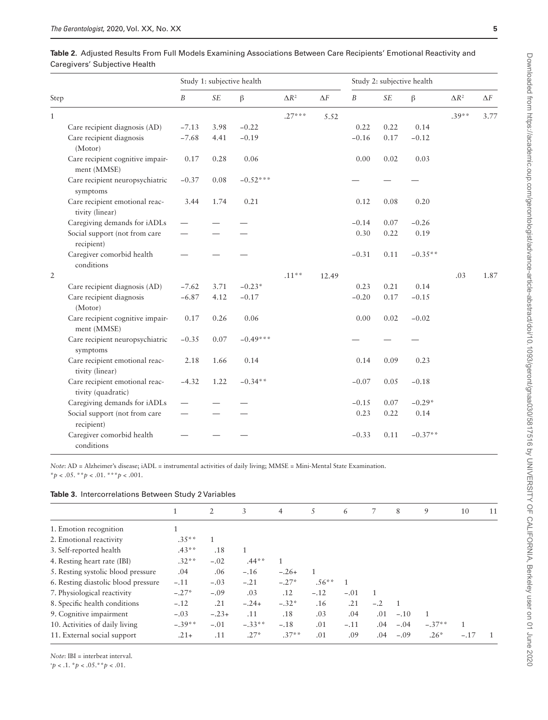<span id="page-4-0"></span>

| Table 2. Adjusted Results From Full Models Examining Associations Between Care Recipients' Emotional Reactivity and |  |  |  |  |
|---------------------------------------------------------------------------------------------------------------------|--|--|--|--|
| Caregivers' Subjective Health                                                                                       |  |  |  |  |

|                |                                                      |                  |      | Study 1: subjective health |              |            |                  |           | Study 2: subjective health |              |            |
|----------------|------------------------------------------------------|------------------|------|----------------------------|--------------|------------|------------------|-----------|----------------------------|--------------|------------|
| Step           |                                                      | $\boldsymbol{B}$ | SE   | $\beta$                    | $\Delta R^2$ | $\Delta F$ | $\boldsymbol{B}$ | <b>SE</b> | $\beta$                    | $\Delta R^2$ | $\Delta F$ |
| $\mathbf{1}$   |                                                      |                  |      |                            | $.27***$     | 5.52       |                  |           |                            | $.39**$      | 3.77       |
|                | Care recipient diagnosis (AD)                        | $-7.13$          | 3.98 | $-0.22$                    |              |            | 0.22             | 0.22      | 0.14                       |              |            |
|                | Care recipient diagnosis<br>(Motor)                  | $-7.68$          | 4.41 | $-0.19$                    |              |            | $-0.16$          | 0.17      | $-0.12$                    |              |            |
|                | Care recipient cognitive impair-<br>ment (MMSE)      | 0.17             | 0.28 | 0.06                       |              |            | 0.00             | 0.02      | 0.03                       |              |            |
|                | Care recipient neuropsychiatric<br>symptoms          | $-0.37$          | 0.08 | $-0.52***$                 |              |            |                  |           |                            |              |            |
|                | Care recipient emotional reac-<br>tivity (linear)    | 3.44             | 1.74 | 0.21                       |              |            | 0.12             | 0.08      | 0.20                       |              |            |
|                | Caregiving demands for iADLs                         |                  |      |                            |              |            | $-0.14$          | 0.07      | $-0.26$                    |              |            |
|                | Social support (not from care<br>recipient)          |                  |      |                            |              |            | 0.30             | 0.22      | 0.19                       |              |            |
|                | Caregiver comorbid health<br>conditions              |                  |      |                            |              |            | $-0.31$          | 0.11      | $-0.35**$                  |              |            |
| $\overline{2}$ |                                                      |                  |      |                            | $.11**$      | 12.49      |                  |           |                            | .03          | 1.87       |
|                | Care recipient diagnosis (AD)                        | $-7.62$          | 3.71 | $-0.23*$                   |              |            | 0.23             | 0.21      | 0.14                       |              |            |
|                | Care recipient diagnosis<br>(Motor)                  | $-6.87$          | 4.12 | $-0.17$                    |              |            | $-0.20$          | 0.17      | $-0.15$                    |              |            |
|                | Care recipient cognitive impair-<br>ment (MMSE)      | 0.17             | 0.26 | 0.06                       |              |            | 0.00             | 0.02      | $-0.02$                    |              |            |
|                | Care recipient neuropsychiatric<br>symptoms          | $-0.35$          | 0.07 | $-0.49***$                 |              |            |                  |           |                            |              |            |
|                | Care recipient emotional reac-<br>tivity (linear)    | 2.18             | 1.66 | 0.14                       |              |            | 0.14             | 0.09      | 0.23                       |              |            |
|                | Care recipient emotional reac-<br>tivity (quadratic) | $-4.32$          | 1.22 | $-0.34**$                  |              |            | $-0.07$          | 0.05      | $-0.18$                    |              |            |
|                | Caregiving demands for iADLs                         |                  |      |                            |              |            | $-0.15$          | 0.07      | $-0.29*$                   |              |            |
|                | Social support (not from care<br>recipient)          |                  |      |                            |              |            | 0.23             | 0.22      | 0.14                       |              |            |
|                | Caregiver comorbid health<br>conditions              |                  |      |                            |              |            | $-0.33$          | 0.11      | $-0.37**$                  |              |            |

*Note*: AD = Alzheimer's disease; iADL = instrumental activities of daily living; MMSE = Mini-Mental State Examination.  ${}^*p < .05.$ <br/> ${}^*^*p < .01.$ <br/> ${}^*^*p < .001.$ 

<span id="page-4-1"></span>

|  | Table 3. Intercorrelations Between Study 2 Variables |  |  |  |
|--|------------------------------------------------------|--|--|--|
|--|------------------------------------------------------|--|--|--|

|                                     |          | 2       | 3        | $\overline{4}$ | 5       | 6      | 7     | 8      | 9              | 10     | 11 |
|-------------------------------------|----------|---------|----------|----------------|---------|--------|-------|--------|----------------|--------|----|
| 1. Emotion recognition              |          |         |          |                |         |        |       |        |                |        |    |
| 2. Emotional reactivity             | $.35***$ |         |          |                |         |        |       |        |                |        |    |
| 3. Self-reported health             | $.43**$  | .18     |          |                |         |        |       |        |                |        |    |
| 4. Resting heart rate (IBI)         | $.32**$  | $-.02$  | $.44**$  | 1              |         |        |       |        |                |        |    |
| 5. Resting systolic blood pressure  | .04      | .06     | $-.16$   | $-.26+$        | 1       |        |       |        |                |        |    |
| 6. Resting diastolic blood pressure | $-.11$   | $-.03$  | $-.21$   | $-.27*$        | $.56**$ |        |       |        |                |        |    |
| 7. Physiological reactivity         | $-.27*$  | $-.09$  | .03      | .12            | $-.12$  | $-.01$ | 1     |        |                |        |    |
| 8. Specific health conditions       | $-.12$   | .21     | $-.24+$  | $-.32*$        | .16     | .21    | $-.2$ |        |                |        |    |
| 9. Cognitive impairment             | $-.03$   | $-.23+$ | .11      | .18            | .03     | .04    | .01   | $-.10$ | $\overline{1}$ |        |    |
| 10. Activities of daily living      | $-.39**$ | $-.01$  | $-.33**$ | $-.18$         | .01     | $-.11$ | .04   | $-.04$ | $-.37**$       |        |    |
| 11. External social support         | $.21+$   | .11     | $.27*$   | $.37**$        | .01     | .09    | .04   | $-.09$ | $.26*$         | $-.17$ |    |

*Note*: IBI = interbeat interval.

+ *p* < .1. \**p* < .05.\*\**p* < .01.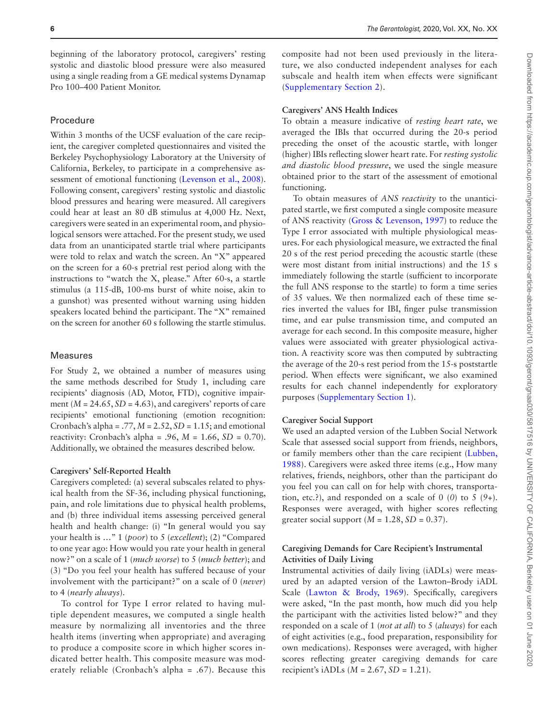beginning of the laboratory protocol, caregivers' resting systolic and diastolic blood pressure were also measured using a single reading from a GE medical systems Dynamap Pro 100–400 Patient Monitor.

# Procedure

Within 3 months of the UCSF evaluation of the care recipient, the caregiver completed questionnaires and visited the Berkeley Psychophysiology Laboratory at the University of California, Berkeley, to participate in a comprehensive assessment of emotional functioning ([Levenson et al., 2008](#page-10-14)). Following consent, caregivers' resting systolic and diastolic blood pressures and hearing were measured. All caregivers could hear at least an 80 dB stimulus at 4,000 Hz. Next, caregivers were seated in an experimental room, and physiological sensors were attached. For the present study, we used data from an unanticipated startle trial where participants were told to relax and watch the screen. An "X" appeared on the screen for a 60-s pretrial rest period along with the instructions to "watch the X, please." After 60-s, a startle stimulus (a 115-dB, 100-ms burst of white noise, akin to a gunshot) was presented without warning using hidden speakers located behind the participant. The "X" remained on the screen for another 60 s following the startle stimulus.

## Measures

For Study 2, we obtained a number of measures using the same methods described for Study 1, including care recipients' diagnosis (AD, Motor, FTD), cognitive impairment ( $M = 24.65$ ,  $SD = 4.63$ ), and caregivers' reports of care recipients' emotional functioning (emotion recognition: Cronbach's alpha = .77, *M* = 2.52, *SD* = 1.15; and emotional reactivity: Cronbach's alpha = .96, *M* = 1.66, *SD* = 0.70). Additionally, we obtained the measures described below.

#### **Caregivers' Self-Reported Health**

Caregivers completed: (a) several subscales related to physical health from the SF-36, including physical functioning, pain, and role limitations due to physical health problems, and (b) three individual items assessing perceived general health and health change: (i) "In general would you say your health is …" 1 (*poor*) to 5 (*excellent*); (2) "Compared to one year ago: How would you rate your health in general now?" on a scale of 1 (*much worse*) to 5 (*much better*); and (3) "Do you feel your health has suffered because of your involvement with the participant?" on a scale of 0 (*never*) to 4 (*nearly always*).

To control for Type I error related to having multiple dependent measures, we computed a single health measure by normalizing all inventories and the three health items (inverting when appropriate) and averaging to produce a composite score in which higher scores indicated better health. This composite measure was moderately reliable (Cronbach's alpha = .67). Because this

composite had not been used previously in the literature, we also conducted independent analyses for each subscale and health item when effects were significant ([Supplementary Section 2\)](http://academic.oup.com/gerontologist/article-lookup/doi/10.1093/geront/gnaa030#supplementary-data).

## **Caregivers' ANS Health Indices**

To obtain a measure indicative of *resting heart rate*, we averaged the IBIs that occurred during the 20-s period preceding the onset of the acoustic startle, with longer (higher) IBIs reflecting slower heart rate. For *resting systolic and diastolic blood pressure*, we used the single measure obtained prior to the start of the assessment of emotional functioning.

To obtain measures of *ANS reactivity* to the unanticipated startle, we first computed a single composite measure of ANS reactivity ([Gross & Levenson, 1997](#page-9-16)) to reduce the Type I error associated with multiple physiological measures. For each physiological measure, we extracted the final 20 s of the rest period preceding the acoustic startle (these were most distant from initial instructions) and the 15 s immediately following the startle (sufficient to incorporate the full ANS response to the startle) to form a time series of 35 values. We then normalized each of these time series inverted the values for IBI, finger pulse transmission time, and ear pulse transmission time, and computed an average for each second. In this composite measure, higher values were associated with greater physiological activation. A reactivity score was then computed by subtracting the average of the 20-s rest period from the 15-s poststartle period. When effects were significant, we also examined results for each channel independently for exploratory purposes ([Supplementary Section 1](http://academic.oup.com/gerontologist/article-lookup/doi/10.1093/geront/gnaa030#supplementary-data)).

## **Caregiver Social Support**

We used an adapted version of the Lubben Social Network Scale that assessed social support from friends, neighbors, or family members other than the care recipient [\(Lubben,](#page-10-15)  [1988](#page-10-15)). Caregivers were asked three items (e.g., How many relatives, friends, neighbors, other than the participant do you feel you can call on for help with chores, transportation, etc.?), and responded on a scale of 0 (*0*) to 5 (*9+*). Responses were averaged, with higher scores reflecting greater social support  $(M = 1.28, SD = 0.37)$ .

## **Caregiving Demands for Care Recipient's Instrumental Activities of Daily Living**

Instrumental activities of daily living (iADLs) were measured by an adapted version of the Lawton–Brody iADL Scale ([Lawton & Brody, 1969\)](#page-10-16). Specifically, caregivers were asked, "In the past month, how much did you help the participant with the activities listed below?" and they responded on a scale of 1 (*not at all*) to 5 (*always*) for each of eight activities (e.g., food preparation, responsibility for own medications). Responses were averaged, with higher scores reflecting greater caregiving demands for care recipient's iADLs (*M* = 2.67, *SD* = 1.21).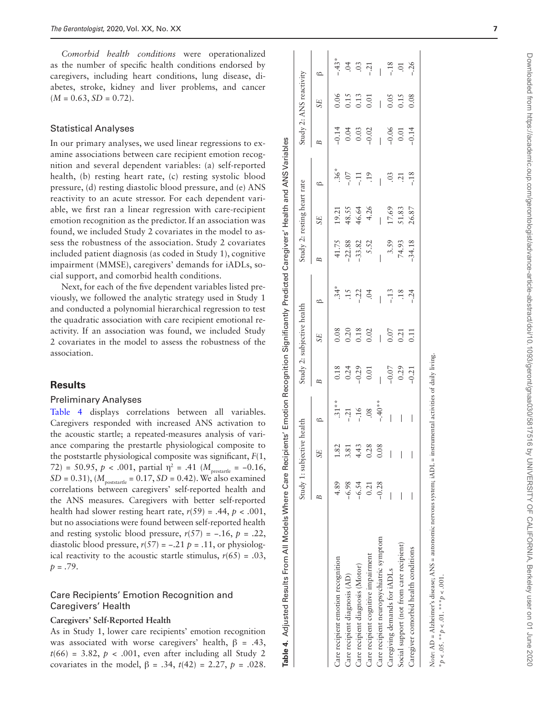*Comorbid health conditions* were operationalized as the number of specific health conditions endorsed by caregivers, including heart conditions, lung disease, di abetes, stroke, kidney and liver problems, and cancer  $(M = 0.63, SD = 0.72)$ .

# Statistical Analyses

In our primary analyses, we used linear regressions to ex amine associations between care recipient emotion recog nition and several dependent variables: (a) self-reported health, (b) resting heart rate, (c) resting systolic blood pressure, (d) resting diastolic blood pressure, and (e) ANS reactivity to an acute stressor. For each dependent vari able, we first ran a linear regression with care-recipient emotion recognition as the predictor. If an association was found, we included Study 2 covariates in the model to as sess the robustness of the association. Study 2 covariates included patient diagnosis (as coded in Study 1), cognitive impairment (MMSE), caregivers' demands for iADLs, so cial support, and comorbid health conditions.

Next, for each of the five dependent variables listed pre viously, we followed the analytic strategy used in Study 1 and conducted a polynomial hierarchical regression to test the quadratic association with care recipient emotional re activity. If an association was found, we included Study 2 covariates in the model to assess the robustness of the association.

# **Results**

#### Preliminary Analyses

[Table 4](#page-6-0) displays correlations between all variables. Caregivers responded with increased ANS activation to the acoustic startle; a repeated-measures analysis of vari ance comparing the prestartle physiological composite to the poststartle physiological composite was significant, *F*(1, 72) = 50.95, *p* < .001, partial η<sup>2</sup> = .41 ( $M_{\text{prestrate}}$  = −0.16,  $SD = 0.31$ ), ( $M_{\text{poststrate}} = 0.17$ ,  $SD = 0.42$ ). We also examined correlations between caregivers' self-reported health and the ANS measures. Caregivers with better self-reported health had slower resting heart rate,  $r(59) = .44$ ,  $p < .001$ , but no associations were found between self-reported health and resting systolic blood pressure,  $r(57) = -.16$ ,  $p = .22$ , diastolic blood pressure,  $r(57) = -.21 p = .11$ , or physiological reactivity to the acoustic startle stimulus,  $r(65) = .03$ , *p* = .79.

# Care Recipients' Emotion Recognition and Caregivers' Health

## **Caregivers' Self-Reported Health**

<span id="page-6-0"></span>As in Study 1, lower care recipients' emotion recognition was associated with worse caregivers' health,  $\beta = .43$ ,  $t(66) = 3.82$ ,  $p < .001$ , even after including all Study 2 covariates in the model,  $β = .34, t(42) = 2.27, p = .028$ .

|                                          |         | Study 1: subjective health |                      |         | Study 2: subjective health |                 |          | Study 2: resting heart rate |                |                 | Study 2: ANS reactivity  |                  |
|------------------------------------------|---------|----------------------------|----------------------|---------|----------------------------|-----------------|----------|-----------------------------|----------------|-----------------|--------------------------|------------------|
|                                          |         | SE <sub></sub>             | $\circ$              | B       | <b>SE</b>                  | ≌               | B        | <b>SE</b>                   | ß              | B               | SE <sub></sub>           | ≌                |
| Care recipient emotion recognition       | 4.89    | 1.82                       |                      | 0.18    |                            |                 | 41.75    | 19.21                       | $.36*$         |                 | 0.06                     | $-.43*$          |
| Care recipient diagnosis (AD)            | $-6.98$ | 3.81                       | $31**$<br>-21<br>-16 | 0.24    | $0.08$<br>$0.20$           | $.34*$<br>$.15$ | $-22.88$ | 48.55<br>46.64              | $-0.7$         | $-0.14$<br>0.04 | 0.15                     |                  |
| Care recipient diagnosis (Motor)         | $-6.54$ | 4.43                       |                      | $-0.29$ | $0.18$<br>$0.02$           | $-22$           | $-33.82$ |                             | $-11$          | 0.03            | 0.13                     | 0.03             |
| Care recipient cognitive impairment      | 0.21    | 0.28                       | 0.08                 | 0.01    |                            | $\ddot{5}$      | 5.52     | 4.26                        | $\ddot{.}19$   |                 | 0.01                     | $-21$            |
| Care recipient neuropsychiatric symptom  | $-0.28$ | 0.08                       | $-40**$              |         | $\overline{\phantom{a}}$   | $\overline{1}$  |          |                             |                | $\overline{1}$  | $\overline{\phantom{a}}$ | $\overline{1}$   |
| Caregiving demands for iADLs             |         |                            |                      | $-0.07$ | 0.07                       | $-13$           | 3.59     | 17.69                       | .03            |                 | 0.05                     | $-18$            |
| Social support (not from care recipient) |         |                            |                      | 0.29    | 0.21                       | .18             | 74.93    | 51.83                       | $\overline{c}$ | $-0.06$<br>0.01 | 0.15                     | $\overline{0}$ . |
| Caregiver comorbid health conditions     |         |                            |                      | $-0.21$ | 0.11                       |                 | 34.18    | 26.87                       | $-18$          | $-0.14$         | 0.08                     | $-26$            |

*Note*: AD = Alzheimer's disease; ANS = autonomic nervous system; iADL = instrumental activities of daily living. \**p* < .05. \*\**p* < .01. \*\*\**p* < .001.  $k_p < 0.05$ ,  $k_{**} = 0.01$ ,  $k_{**} = p < 0.00$ .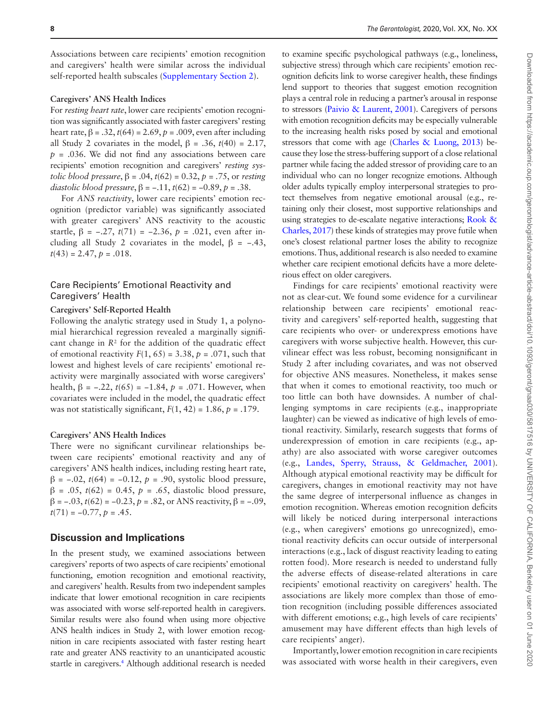Associations between care recipients' emotion recognition and caregivers' health were similar across the individual self-reported health subscales ([Supplementary Section 2\)](http://academic.oup.com/gerontologist/article-lookup/doi/10.1093/geront/gnaa030#supplementary-data).

#### **Caregivers' ANS Health Indices**

For *resting heart rate*, lower care recipients' emotion recognition was significantly associated with faster caregivers' resting heart rate,  $β = .32, t(64) = 2.69, p = .009$ , even after including all Study 2 covariates in the model,  $β = .36, t(40) = 2.17$ ,  $p = .036$ . We did not find any associations between care recipients' emotion recognition and caregivers' *resting systolic blood pressure*,  $β = .04$ ,  $t(62) = 0.32$ ,  $p = .75$ , or *resting diastolic blood pressure*, β = −.11, *t*(62) = −0.89, *p* = .38.

For *ANS reactivity*, lower care recipients' emotion recognition (predictor variable) was significantly associated with greater caregivers' ANS reactivity to the acoustic startle,  $\beta$  =  $-.27$ ,  $t(71)$  =  $-.236$ ,  $p = .021$ , even after including all Study 2 covariates in the model,  $\beta = -.43$ ,  $t(43) = 2.47, p = .018.$ 

# Care Recipients' Emotional Reactivity and Caregivers' Health

### **Caregivers' Self-Reported Health**

Following the analytic strategy used in Study 1, a polynomial hierarchical regression revealed a marginally significant change in  $R<sup>2</sup>$  for the addition of the quadratic effect of emotional reactivity  $F(1, 65) = 3.38$ ,  $p = .071$ , such that lowest and highest levels of care recipients' emotional reactivity were marginally associated with worse caregivers' health,  $β = -.22, t(65) = -1.84, p = .071$ . However, when covariates were included in the model, the quadratic effect was not statistically significant,  $F(1, 42) = 1.86$ ,  $p = .179$ .

#### **Caregivers' ANS Health Indices**

There were no significant curvilinear relationships between care recipients' emotional reactivity and any of caregivers' ANS health indices, including resting heart rate, β = −.02, *t*(64) = −0.12, *p* = .90, systolic blood pressure,  $β = .05, t(62) = 0.45, p = .65, diastolic blood pressure,$  $β = -.03, t(62) = -0.23, p = .82$ , or ANS reactivity,  $β = -.09$ , *t*(71) = −0.77, *p* = .45.

## **Discussion and Implications**

In the present study, we examined associations between caregivers' reports of two aspects of care recipients' emotional functioning, emotion recognition and emotional reactivity, and caregivers' health. Results from two independent samples indicate that lower emotional recognition in care recipients was associated with worse self-reported health in caregivers. Similar results were also found when using more objective ANS health indices in Study 2, with lower emotion recognition in care recipients associated with faster resting heart rate and greater ANS reactivity to an unanticipated acoustic startle in caregivers.<sup>[4](#page-9-17)</sup> Although additional research is needed

to examine specific psychological pathways (e.g., loneliness, subjective stress) through which care recipients' emotion recognition deficits link to worse caregiver health, these findings lend support to theories that suggest emotion recognition plays a central role in reducing a partner's arousal in response to stressors ([Paivio & Laurent, 2001](#page-10-17)). Caregivers of persons with emotion recognition deficits may be especially vulnerable to the increasing health risks posed by social and emotional stressors that come with age [\(Charles & Luong, 2013\)](#page-9-18) because they lose the stress-buffering support of a close relational partner while facing the added stressor of providing care to an individual who can no longer recognize emotions. Although older adults typically employ interpersonal strategies to protect themselves from negative emotional arousal (e.g., retaining only their closest, most supportive relationships and using strategies to de-escalate negative interactions; [Rook &](#page-10-18)  [Charles, 2017\)](#page-10-18) these kinds of strategies may prove futile when one's closest relational partner loses the ability to recognize emotions. Thus, additional research is also needed to examine whether care recipient emotional deficits have a more deleterious effect on older caregivers.

Findings for care recipients' emotional reactivity were not as clear-cut. We found some evidence for a curvilinear relationship between care recipients' emotional reactivity and caregivers' self-reported health, suggesting that care recipients who over- or underexpress emotions have caregivers with worse subjective health. However, this curvilinear effect was less robust, becoming nonsignificant in Study 2 after including covariates, and was not observed for objective ANS measures. Nonetheless, it makes sense that when it comes to emotional reactivity, too much or too little can both have downsides. A number of challenging symptoms in care recipients (e.g., inappropriate laughter) can be viewed as indicative of high levels of emotional reactivity. Similarly, research suggests that forms of underexpression of emotion in care recipients (e.g., apathy) are also associated with worse caregiver outcomes (e.g., [Landes, Sperry, Strauss, & Geldmacher, 2001](#page-10-19)). Although atypical emotional reactivity may be difficult for caregivers, changes in emotional reactivity may not have the same degree of interpersonal influence as changes in emotion recognition. Whereas emotion recognition deficits will likely be noticed during interpersonal interactions (e.g., when caregivers' emotions go unrecognized), emotional reactivity deficits can occur outside of interpersonal interactions (e.g., lack of disgust reactivity leading to eating rotten food). More research is needed to understand fully the adverse effects of disease-related alterations in care recipients' emotional reactivity on caregivers' health. The associations are likely more complex than those of emotion recognition (including possible differences associated with different emotions; e.g., high levels of care recipients' amusement may have different effects than high levels of care recipients' anger).

Importantly, lower emotion recognition in care recipients was associated with worse health in their caregivers, even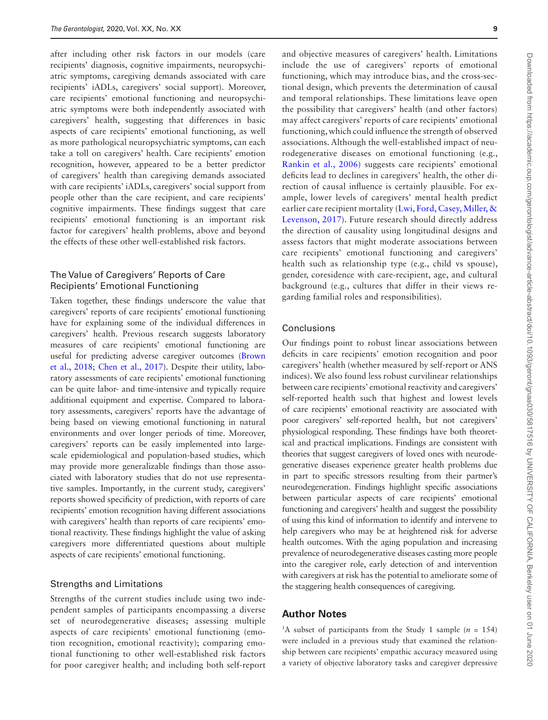after including other risk factors in our models (care recipients' diagnosis, cognitive impairments, neuropsychiatric symptoms, caregiving demands associated with care recipients' iADLs, caregivers' social support). Moreover, care recipients' emotional functioning and neuropsychiatric symptoms were both independently associated with caregivers' health, suggesting that differences in basic aspects of care recipients' emotional functioning, as well as more pathological neuropsychiatric symptoms, can each take a toll on caregivers' health. Care recipients' emotion recognition, however, appeared to be a better predictor of caregivers' health than caregiving demands associated with care recipients' iADLs, caregivers' social support from people other than the care recipient, and care recipients' cognitive impairments. These findings suggest that care recipients' emotional functioning is an important risk factor for caregivers' health problems, above and beyond the effects of these other well-established risk factors.

# The Value of Caregivers' Reports of Care Recipients' Emotional Functioning

Taken together, these findings underscore the value that caregivers' reports of care recipients' emotional functioning have for explaining some of the individual differences in caregivers' health. Previous research suggests laboratory measures of care recipients' emotional functioning are useful for predicting adverse caregiver outcomes [\(Brown](#page-9-2)  [et al., 2018;](#page-9-2) [Chen et al., 2017](#page-9-3)). Despite their utility, laboratory assessments of care recipients' emotional functioning can be quite labor- and time-intensive and typically require additional equipment and expertise. Compared to laboratory assessments, caregivers' reports have the advantage of being based on viewing emotional functioning in natural environments and over longer periods of time. Moreover, caregivers' reports can be easily implemented into largescale epidemiological and population-based studies, which may provide more generalizable findings than those associated with laboratory studies that do not use representative samples. Importantly, in the current study, caregivers' reports showed specificity of prediction, with reports of care recipients' emotion recognition having different associations with caregivers' health than reports of care recipients' emotional reactivity. These findings highlight the value of asking caregivers more differentiated questions about multiple aspects of care recipients' emotional functioning.

#### Strengths and Limitations

Strengths of the current studies include using two independent samples of participants encompassing a diverse set of neurodegenerative diseases; assessing multiple aspects of care recipients' emotional functioning (emotion recognition, emotional reactivity); comparing emotional functioning to other well-established risk factors for poor caregiver health; and including both self-report

and objective measures of caregivers' health. Limitations include the use of caregivers' reports of emotional functioning, which may introduce bias, and the cross-sectional design, which prevents the determination of causal and temporal relationships. These limitations leave open the possibility that caregivers' health (and other factors) may affect caregivers' reports of care recipients' emotional functioning, which could influence the strength of observed associations. Although the well-established impact of neurodegenerative diseases on emotional functioning (e.g., [Rankin et al., 2006](#page-10-20)) suggests care recipients' emotional deficits lead to declines in caregivers' health, the other direction of causal influence is certainly plausible. For example, lower levels of caregivers' mental health predict earlier care recipient mortality ([Lwi, Ford, Casey, Miller, &](#page-10-21)  [Levenson, 2017](#page-10-21)). Future research should directly address the direction of causality using longitudinal designs and assess factors that might moderate associations between care recipients' emotional functioning and caregivers' health such as relationship type (e.g., child vs spouse), gender, coresidence with care-recipient, age, and cultural background (e.g., cultures that differ in their views regarding familial roles and responsibilities).

#### **Conclusions**

Our findings point to robust linear associations between deficits in care recipients' emotion recognition and poor caregivers' health (whether measured by self-report or ANS indices). We also found less robust curvilinear relationships between care recipients' emotional reactivity and caregivers' self-reported health such that highest and lowest levels of care recipients' emotional reactivity are associated with poor caregivers' self-reported health, but not caregivers' physiological responding. These findings have both theoretical and practical implications. Findings are consistent with theories that suggest caregivers of loved ones with neurodegenerative diseases experience greater health problems due in part to specific stressors resulting from their partner's neurodegeneration. Findings highlight specific associations between particular aspects of care recipients' emotional functioning and caregivers' health and suggest the possibility of using this kind of information to identify and intervene to help caregivers who may be at heightened risk for adverse health outcomes. With the aging population and increasing prevalence of neurodegenerative diseases casting more people into the caregiver role, early detection of and intervention with caregivers at risk has the potential to ameliorate some of the staggering health consequences of caregiving.

## **Author Notes**

<span id="page-8-0"></span><sup>1</sup>A subset of participants from the Study 1 sample ( $n = 154$ ) were included in a previous study that examined the relationship between care recipients' empathic accuracy measured using a variety of objective laboratory tasks and caregiver depressive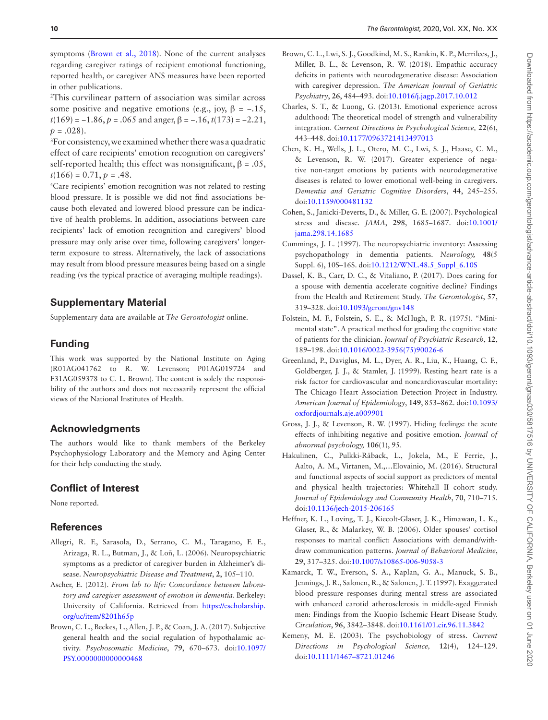symptoms (Brown et al., 2018). None of the current analyses regarding caregiver ratings of recipient emotional functioning, reported health, or caregiver ANS measures have been reported in other publications.

<span id="page-9-14"></span>2 This curvilinear pattern of association was similar across some positive and negative emotions (e.g., joy,  $\beta = -.15$ ,  $t(169) = -1.86$ ,  $p = .065$  and anger,  $\beta = -.16$ ,  $t(173) = -2.21$ ,  $p = .028$ .

<span id="page-9-15"></span>3 For consistency, we examined whether there was a quadratic effect of care recipients' emotion recognition on caregivers' self-reported health; this effect was nonsignificant,  $\beta = .05$ ,  $t(166) = 0.71, p = .48.$ 

<span id="page-9-17"></span>4 Care recipients' emotion recognition was not related to resting blood pressure. It is possible we did not find associations because both elevated and lowered blood pressure can be indicative of health problems. In addition, associations between care recipients' lack of emotion recognition and caregivers' blood pressure may only arise over time, following caregivers' longerterm exposure to stress. Alternatively, the lack of associations may result from blood pressure measures being based on a single reading (vs the typical practice of averaging multiple readings).

# **Supplementary Material**

Supplementary data are available at *The Gerontologist* online.

# **Funding**

This work was supported by the National Institute on Aging (R01AG041762 to R. W. Levenson; P01AG019724 and F31AG059378 to C. L. Brown). The content is solely the responsibility of the authors and does not necessarily represent the official views of the National Institutes of Health.

# **Acknowledgments**

The authors would like to thank members of the Berkeley Psychophysiology Laboratory and the Memory and Aging Center for their help conducting the study.

# **Conflict of Interest**

None reported.

# **References**

- <span id="page-9-1"></span>Allegri, R. F., Sarasola, D., Serrano, C. M., Taragano, F. E., Arizaga, R. L., Butman, J., & Loñ, L. (2006). Neuropsychiatric symptoms as a predictor of caregiver burden in Alzheimer's disease. *Neuropsychiatric Disease and Treatment*, **2**, 105–110.
- <span id="page-9-11"></span>Ascher, E. (2012). *From lab to life: Concordance between laboratory and caregiver assessment of emotion in dementia*. Berkeley: University of California. Retrieved from [https://escholarship.](https://escholarship.org/uc/item/8201h65p) [org/uc/item/8201h65p](https://escholarship.org/uc/item/8201h65p)
- <span id="page-9-6"></span>Brown, C. L., Beckes, L., Allen, J. P., & Coan, J. A. (2017). Subjective general health and the social regulation of hypothalamic activity. *Psychosomatic Medicine*, **79**, 670–673. doi:[10.1097/](https://doi.org/10.1097/PSY.0000000000000468) [PSY.0000000000000468](https://doi.org/10.1097/PSY.0000000000000468)
- <span id="page-9-2"></span>Brown, C. L., Lwi, S. J., Goodkind, M. S., Rankin, K. P., Merrilees, J., Miller, B. L., & Levenson, R. W. (2018). Empathic accuracy deficits in patients with neurodegenerative disease: Association with caregiver depression. *The American Journal of Geriatric Psychiatry*, **26**, 484–493. doi:[10.1016/j.jagp.2017.10.012](https://doi.org/10.1016/j.jagp.2017.10.012)
- <span id="page-9-18"></span>Charles, S. T., & Luong, G. (2013). Emotional experience across adulthood: The theoretical model of strength and vulnerability integration. *Current Directions in Psychological Science,* **22**(6), 443–448. doi:[10.1177/0963721413497013](https://doi.org/10.1177/0963721413497013)
- <span id="page-9-3"></span>Chen, K. H., Wells, J. L., Otero, M. C., Lwi, S. J., Haase, C. M., & Levenson, R. W. (2017). Greater experience of negative non-target emotions by patients with neurodegenerative diseases is related to lower emotional well-being in caregivers. *Dementia and Geriatric Cognitive Disorders*, **44**, 245–255. doi:[10.1159/000481132](https://doi.org/10.1159/000481132)
- <span id="page-9-8"></span>Cohen, S., Janicki-Deverts, D., & Miller, G. E. (2007). Psychological stress and disease. *JAMA*, **298**, 1685–1687. doi:[10.1001/](https://doi.org/10.1001/jama.298.14.1685) [jama.298.14.1685](https://doi.org/10.1001/jama.298.14.1685)
- <span id="page-9-13"></span>Cummings, J. L. (1997). The neuropsychiatric inventory: Assessing psychopathology in dementia patients. *Neurology,* **48**(5 Suppl. 6), 10S–16S. doi[:10.1212/WNL.48.5\\_Suppl\\_6.10S](https://doi.org/10.1212/WNL.48.5_Suppl_6.10S)
- <span id="page-9-0"></span>Dassel, K. B., Carr, D. C., & Vitaliano, P. (2017). Does caring for a spouse with dementia accelerate cognitive decline? Findings from the Health and Retirement Study. *The Gerontologist*, **57**, 319–328. doi:[10.1093/geront/gnv148](https://doi.org/10.1093/geront/gnv148)
- <span id="page-9-12"></span>Folstein, M. F., Folstein, S. E., & McHugh, P. R. (1975). "Minimental state". A practical method for grading the cognitive state of patients for the clinician. *Journal of Psychiatric Research*, **12**, 189–198. doi:[10.1016/0022-3956\(75\)90026-6](https://doi.org/10.1016/0022-3956(75)90026-6)
- <span id="page-9-9"></span>Greenland, P., Daviglus, M. L., Dyer, A. R., Liu, K., Huang, C. F., Goldberger, J. J., & Stamler, J. (1999). Resting heart rate is a risk factor for cardiovascular and noncardiovascular mortality: The Chicago Heart Association Detection Project in Industry. *American Journal of Epidemiology*, **149**, 853–862. doi:[10.1093/](https://doi.org/10.1093/oxfordjournals.aje.a009901) [oxfordjournals.aje.a009901](https://doi.org/10.1093/oxfordjournals.aje.a009901)
- <span id="page-9-16"></span>Gross, J. J., & Levenson, R. W. (1997). Hiding feelings: the acute effects of inhibiting negative and positive emotion. *Journal of abnormal psychology,* **106**(1), 95.
- <span id="page-9-7"></span>Hakulinen, C., Pulkki-Råback, L., Jokela, M., E Ferrie, J., Aalto, A. M., Virtanen, M.,…Elovainio, M. (2016). Structural and functional aspects of social support as predictors of mental and physical health trajectories: Whitehall II cohort study. *Journal of Epidemiology and Community Health*, **70**, 710–715. doi:[10.1136/jech-2015-206165](https://doi.org/10.1136/jech-2015-206165)
- <span id="page-9-5"></span>Heffner, K. L., Loving, T. J., Kiecolt-Glaser, J. K., Himawan, L. K., Glaser, R., & Malarkey, W. B. (2006). Older spouses' cortisol responses to marital conflict: Associations with demand/withdraw communication patterns. *Journal of Behavioral Medicine*, **29**, 317–325. doi:[10.1007/s10865-006-9058-3](https://doi.org/10.1007/s10865-006-9058-3)
- <span id="page-9-10"></span>Kamarck, T. W., Everson, S. A., Kaplan, G. A., Manuck, S. B., Jennings, J. R., Salonen, R., & Salonen, J. T. (1997). Exaggerated blood pressure responses during mental stress are associated with enhanced carotid atherosclerosis in middle-aged Finnish men: Findings from the Kuopio Ischemic Heart Disease Study. *Circulation*, **96**, 3842–3848. doi[:10.1161/01.cir.96.11.3842](https://doi.org/10.1161/01.cir.96.11.3842)
- <span id="page-9-4"></span>Kemeny, M. E. (2003). The psychobiology of stress. *Current Directions in Psychological Science,* **12**(4), 124–129. doi:[10.1111/1467–8721.01246](https://doi.org/10.1111/1467–8721.01246)